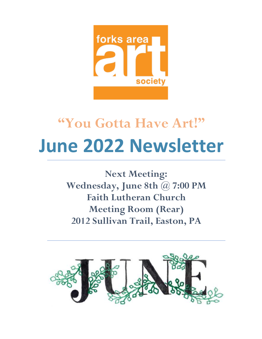

# **"You Gotta Have Art!" June 2022 Newsletter**

**Next Meeting: Wednesday, June 8th @ 7:00 PM Faith Lutheran Church Meeting Room (Rear) 2012 Sullivan Trail, Easton, PA**

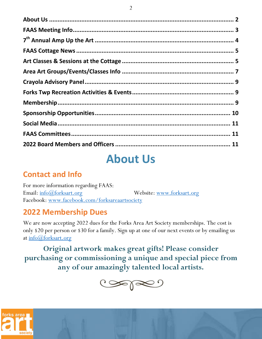### **About Us**

#### <span id="page-1-0"></span>**Contact and Info**

For more information regarding FAAS: Email:  $\frac{info(@forksart.org)}{info(@forksart.org)}$  Website: [www.forksart.org](http://www.forksart.org/) Facebook: [www.facebook.com/forksareaartsociety](http://www.facebook.com/forksareaartsociety)

### **2022 Membership Dues**

We are now accepting 2022 dues for the Forks Area Art Society memberships. The cost is only \$20 per person or \$30 for a family. Sign up at one of our next events or by emailing us at [info@forksart.org](mailto:info@forksart.org)

**Original artwork makes great gifts! Please consider purchasing or commissioning a unique and special piece from any of our amazingly talented local artists.**



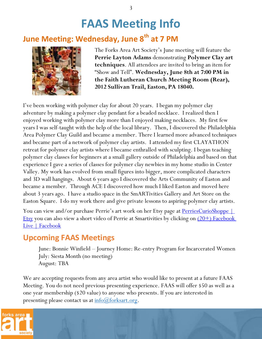### **FAAS Meeting Info**

### <span id="page-2-0"></span>**June Meeting: Wednesday, June 8th at 7 PM**



The Forks Area Art Society's June meeting will feature the **Perrie Layton Adams** demonstrating **Polymer Clay art techniques**. All attendees are invited to bring an item for "Show and Tell". **Wednesday, June 8th at 7:00 PM in the Faith Lutheran Church Meeting Room (Rear), 2012 Sullivan Trail, Easton, PA 18040.**

I've been working with polymer clay for about 20 years. I began my polymer clay adventure by making a polymer clay pendant for a beaded necklace. I realized then I enjoyed working with polymer clay more than I enjoyed making necklaces. My first few years I was self-taught with the help of the local library. Then, I discovered the Philadelphia Area Polymer Clay Guild and became a member. There I learned more advanced techniques and became part of a network of polymer clay artists. I attended my first CLAYATHON retreat for polymer clay artists where I became enthralled with sculpting. I began teaching polymer clay classes for beginners at a small gallery outside of Philadelphia and based on that experience I gave a series of classes for polymer clay newbies in my home studio in Center Valley. My work has evolved from small figures into bigger, more complicated characters and 3D wall hangings. About 6 years ago I discovered the Arts Community of Easton and became a member. Through ACE I discovered how much I liked Easton and moved here about 3 years ago. I have a studio space in the SmARTivities Gallery and Art Store on the Easton Square. I do my work there and give private lessons to aspiring polymer clay artists.

You can view and/or purchase Perrie's art work on her Etsy page at <u>PerriesCurioShoppe</u> [Etsy](https://www.etsy.com/shop/PerriesCurioShoppe?ref=shop_sugg) you can also view a short video of Perrie at Smartivities by clicking on  $(20+)$  Facebook [Live | Facebook](https://www.facebook.com/watch/live/?ref=watch_permalink&v=1661055557569695)

#### **Upcoming FAAS Meetings**

June: Bonnie Winfield – Journey Home: Re-entry Program for Incarcerated Women July: Siesta Month (no meeting) August: TBA

We are accepting requests from any area artist who would like to present at a future FAAS Meeting. You do not need previous presenting experience. FAAS will offer \$50 as well as a one year membership (\$20 value) to anyone who presents. If you are interested in presenting please contact us at  $\frac{info(\mathcal{Q})$  for ksart.org.

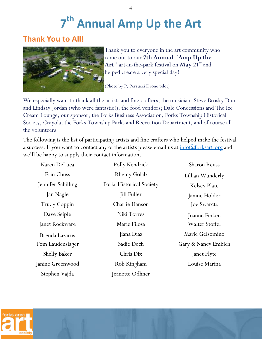# **7 th Annual Amp Up the Art**

#### <span id="page-3-0"></span>**Thank You to All!**



Thank you to everyone in the art community who came out to our **7th Annual "Amp Up the Art"** art-in-the-park festival on **May 21st** and helped create a very special day!

(Photo by P. Perrucci Drone pilot)

We especially want to thank all the artists and fine crafters, the musicians Steve Brosky Duo and Lindsay Jordan (who were fantastic!), the food vendors; Dale Concessions and The Ice Cream Lounge, our sponsor; the Forks Business Association, Forks Township Historical Society, Crayola, the Forks Township Parks and Recreation Department, and of course all the volunteers!

The following is the list of participating artists and fine crafters who helped make the festival a success. If you want to contact any of the artists please email us at  $\frac{info(Qforksart.org)}{info(Qforksart.org)}$ we'll be happy to supply their contact information.

| Karen DeLuca        | Polly Kendrick                  | <b>Sharon Reuss</b> |
|---------------------|---------------------------------|---------------------|
| Erin Chuss          | <b>Rhemy Golab</b>              | Lillian Wunderly    |
| Jennifer Schilling  | <b>Forks Historical Society</b> | <b>Kelsey Plate</b> |
| Jan Nagle           | Jill Fuller                     | Janine Holder       |
| <b>Trudy Coppin</b> | Charlie Hanson                  | <b>Joe Swarctz</b>  |
| Dave Seiple         | Niki Torres                     | Joanne Finken       |
| Janet Rockware      | Marie Filosa                    | Walter Stoffel      |
| Brenda Lazarus      | Jiana Diaz                      | Marie Gelsomino     |
| Tom Laudenslager    | Sadie Dech                      | Gary & Nancy Embich |
| <b>Shelly Baker</b> | Chris Dix                       | Janet Flyte         |
| Janine Greenwood    | Rob Kingham                     | Louise Marina       |
| Stephen Vajda       | Jeanette Odhner                 |                     |



4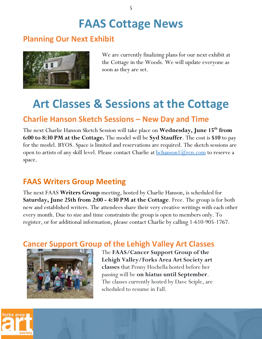### **FAAS Cottage News**

#### <span id="page-4-0"></span>**Planning Our Next Exhibit**



We are currently finalizing plans for our next exhibit at the Cottage in the Woods. We will update everyone as soon as they are set.

### <span id="page-4-1"></span>**Art Classes & Sessions at the Cottage**

#### **Charlie Hanson Sketch Sessions – New Day and Time**

The next Charlie Hanson Sketch Session will take place on **Wednesday, June 15th from 6:00 to 8:30 PM at the Cottage.** The model will be **Syd Stauffer**. The cost is **\$10** to pay for the model. BYOS. Space is limited and reservations are required. The sketch sessions are open to artists of any skill level. Please contact Charlie at  $\frac{\text{bchanson1}(a)_{\text{rcn.com}}}{a}$  to reserve a space.

#### **FAAS Writers Group Meeting**

The next FAAS **Writers Group** meeting, hosted by Charlie Hanson, is scheduled for **Saturday, June 25th from 2:00 - 4:30 PM at the Cottage**. Free. The group is for both new and established writers. The attendees share their very creative writings with each other every month. Due to size and time constraints the group is open to members only. To register, or for additional information, please contact Charlie by calling 1-610-905-1767.

#### **Cancer Support Group of the Lehigh Valley Art Classes**



The **FAAS/Cancer Support Group of the Lehigh Valley/Forks Area Art Society art classes** that Penny Hochella hosted before her passing will be **on hiatus until September**. The classes currently hosted by Dave Seiple, are scheduled to resume in Fall.

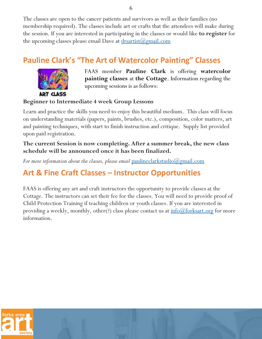The classes are open to the cancer patients and survivors as well as their families (no membership required). The classes include art or crafts that the attendees will make during the session. If you are interested in participating in the classes or would like **to register** for the upcoming classes please email Dave at  $\frac{dr\sqrt{q\mu}}{dr}$  dramail.com

#### **Pauline Clark's "The Art of Watercolor Painting" Classes**



FAAS member **Pauline Clark** is offering **watercolor painting classes** at **the Cottage**. Information regarding the upcoming sessions is as follows:

#### **Beginner to Intermediate 4 week Group Lessons**

Learn and practice the skills you need to enjoy this beautiful medium. This class will focus on understanding materials (papers, paints, brushes, etc.), composition, color matters, art and painting techniques, with start to finish instruction and critique. Supply list provided upon paid registration.

**The current Session is now completing. After a summer break, the new class schedule will be announced once it has been finalized.**

*For more information about the classes, please email <paulineclarkstudio@gmail.com>* 

#### **Art & Fine Craft Classes – Instructor Opportunities**

FAAS is offering any art and craft instructors the opportunity to provide classes at the Cottage. The instructors can set their fee for the classes. You will need to provide proof of Child Protection Training if teaching children or youth classes. If you are interested in providing a weekly, monthly, other(?) class please contact us at  $\frac{info(\omega)$  for ksart.org for more information.

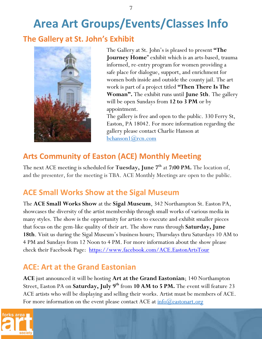### <span id="page-6-0"></span>**Area Art Groups/Events/Classes Info**

#### **The Gallery at St. John's Exhibit**



The Gallery at St. John's is pleased to present **"The Journey Home**" exhibit which is an arts-based, trauma informed, re-entry program for women providing a safe place for dialogue, support, and enrichment for women both inside and outside the county jail. The art work is part of a project titled **"Then There Is The Woman".** The exhibit runs until **June 5th**. The gallery will be open Sundays from **12 to 3 PM** or by appointment.

The gallery is free and open to the public. 330 Ferry St, Easton, PA 18042. For more information regarding the gallery please contact Charlie Hanson at  $bchanson1(a)$ <sub>rcn.com</sub>

#### **Arts Community of Easton (ACE) Monthly Meeting**

The next ACE meeting is scheduled for **Tuesday, June 7 th** at **7:00 PM.** The location of, and the presenter, for the meeting is TBA. ACE Monthly Meetings are open to the public.

#### **ACE Small Works Show at the Sigal Museum**

The **ACE Small Works Show** at the **Sigal Museum**, 342 Northampton St. Easton PA, showcases the diversity of the artist membership through small works of various media in many styles. The show is the opportunity for artists to execute and exhibit smaller pieces that focus on the gem-like quality of their art. The show runs through **Saturday, June 18th**. Visit us during the Sigal Museum's business hours; Thursdays thru Saturdays 10 AM to 4 PM and Sundays from 12 Noon to 4 PM. For more information about the show please check their Facebook Page: [https://www.facebook.com/ACE.EastonArtsTour](https://eastonart.us1.list-manage.com/track/click?u=4346a3a90ac470792897c346d&id=6352214cb4&e=e228e97085)

#### **ACE: Art at the Grand Eastonian**

**ACE** just announced it will be hosting **Art at the Grand Eastonian**; 140 Northampton Street, Easton PA on **Saturday, July 9th** from **10 AM to 5 PM.** The event will feature 23 ACE artists who will be displaying and selling their works. Artist must be members of ACE. For more information on the event please contact ACE at  $\frac{info(Q)$ eastonart.org



7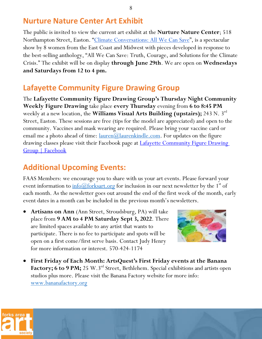#### **Nurture Nature Center Art Exhibit**

The public is invited to view the current art exhibit at the **Nurture Nature Center**; 518 Northampton Street, Easton. "[Climate Conversations: All](https://nurturenaturecenter.org/climate-conversations-all-we-can-save/) We Can Save", is a spectacular show by 8 women from the East Coast and Midwest with pieces developed in response to the best-selling anthology, "All We Can Save: Truth, Courage, and Solutions for the Climate Crisis." The exhibit will be on display **through June 29th**. We are open on **Wednesdays and Saturdays from 12 to 4 pm.**

#### **Lafayette Community Figure Drawing Group**

The **Lafayette Community Figure Drawing Group's Thursday Night Community Weekly Figure Drawing** take place **every Thursday** evening from **6 to 8:45 PM** weekly at a new location, the **Williams Visual Arts Building (upstairs);** 243 N. 3rd Street, Easton. These sessions are free (tips for the model are appreciated) and open to the community. Vaccines and mask wearing are required. Please bring your vaccine card or email me a photo ahead of time:  $l_{\text{auren}}(\omega)$  aurenkindle.com. For updates on the figure drawing classes please visit their Facebook page at <u>Lafayette Community Figure Drawing</u> [Group | Facebook](https://www.facebook.com/groups/499807193546210)

#### **Additional Upcoming Events:**

FAAS Members: we encourage you to share with us your art events. Please forward your event information to  $\frac{info(@)forksart.org}{info(@)forksart.org}$  for inclusion in our next newsletter by the 1<sup>st</sup> of each month. As the newsletter goes out around the end of the first week of the month, early event dates in a month can be included in the previous month's newsletters.

 **Artisans on Ann** (Ann Street, Stroudsburg, PA) will take place from **9 AM to 4 PM Saturday Sept 3, 2022**. There are limited spaces available to any artist that wants to participate. There is no fee to participate and spots will be open on a first come/first serve basis. Contact Judy Henry for more information or interest. 570-424-1174



 **First Friday of Each Month: ArtsQuest's First Friday events at the Banana Factory; 6 to 9 PM;** 25 W.3<sup>rd</sup> Street, Bethlehem. Special exhibitions and artists open studios plus more. Please visit the Banana Factory website for more info: [www.bananafactory.org](http://www.bananafactory.org/)

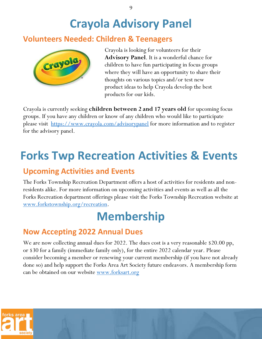### **Crayola Advisory Panel**

#### <span id="page-8-0"></span>**Volunteers Needed: Children & Teenagers**



Crayola is looking for volunteers for their **Advisory Panel**. It is a wonderful chance for children to have fun participating in focus groups where they will have an opportunity to share their thoughts on various topics and/or test new product ideas to help Crayola develop the best products for our kids.

Crayola is currently seeking **children between 2 and 17 years old** for upcoming focus groups. If you have any children or know of any children who would like to participate please visit <https://www.crayola.com/advisorypanel> for more information and to register for the advisory panel.

### <span id="page-8-1"></span>**Forks Twp Recreation Activities & Events**

#### **Upcoming Activities and Events**

The Forks Township Recreation Department offers a host of activities for residents and nonresidents alike. For more information on upcoming activities and events as well as all the Forks Recreation department offerings please visit the Forks Township Recreation website at [www.forkstownship.org/recreation.](http://www.forkstownship.org/recreation)

### **Membership**

#### <span id="page-8-2"></span>**Now Accepting 2022 Annual Dues**

We are now collecting annual dues for 2022. The dues cost is a very reasonable \$20.00 pp, or \$30 for a family (immediate family only), for the entire 2022 calendar year. Please consider becoming a member or renewing your current membership (if you have not already done so) and help support the Forks Area Art Society future endeavors. A membership form can be obtained on our website <u>www.forksart.org</u>

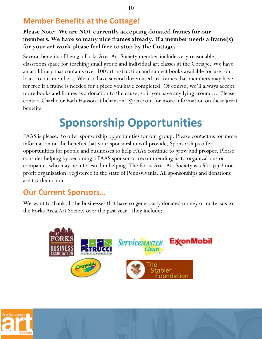#### **Member Benefits at the Cottage!**

#### **Please Note: We are NOT currently accepting donated frames for our members. We have so many nice frames already. If a member needs a frame(s) for your art work please feel free to stop by the Cottage.**

Several benefits of being a Forks Area Art Society member include very reasonable, classroom space for teaching small group and individual art classes at the Cottage. We have an art library that contains over 100 art instruction and subject books available for use, on loan, to our members. We also have several dozen used art frames that members may have for free if a frame is needed for a piece you have completed. Of course, we'll always accept more books and frames as a donation to the cause, so if you have any lying around... Please contact Charlie or Barb Hanson at bchanson1 $\alpha$  com for more information on these great benefits.

## **Sponsorship Opportunities**

<span id="page-9-0"></span>FAAS is pleased to offer sponsorship opportunities for our group. Please contact us for more information on the benefits that your sponsorship will provide. Sponsorships offer opportunities for people and businesses to help FAAS continue to grow and prosper. Please consider helping by becoming a FAAS sponsor or recommending us to organizations or companies who may be interested in helping. The Forks Area Art Society is a 501 (c) 3 nonprofit organization, registered in the state of Pennsylvania. All sponsorships and donations are tax deductible.

#### **Our Current Sponsors…**

We want to thank all the businesses that have so generously donated money or materials to the Forks Area Art Society over the past year. They include:



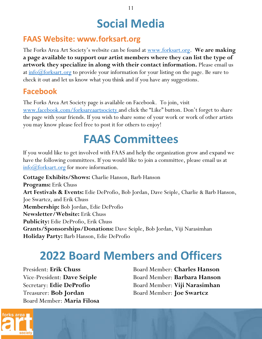## **Social Media**

#### <span id="page-10-0"></span>**FAAS Website: www.forksart.org**

The Forks Area Art Society's website can be found at [www.forksart.org.](http://www.forksart.org/) **We are making a page available to support our artist members where they can list the type of artwork they specialize in along with their contact information.** Please email us at  $\frac{\text{info}(\alpha)$  forksart.org to provide your information for your listing on the page. Be sure to check it out and let us know what you think and if you have any suggestions.

#### **Facebook**

The Forks Area Art Society page is available on Facebook. To join, visit [www.facebook.com/forksareaartsociety](http://www.facebook.com/forksareaartsociety) and click the "Like" button. Don't forget to share the page with your friends. If you wish to share some of your work or work of other artists you may know please feel free to post it for others to enjoy!

### **FAAS Committees**

<span id="page-10-1"></span>If you would like to get involved with FAAS and help the organization grow and expand we have the following committees. If you would like to join a committee, please email us at  $\frac{\text{info}(a)$ forksart.org for more information.

**Cottage Exhibits/Shows:** Charlie Hanson, Barb Hanson **Programs:** Erik Chuss **Art Festivals & Events:** Edie DeProfio, Bob Jordan, Dave Seiple, Charlie & Barb Hanson, Joe Swartcz, and Erik Chuss **Membership:** Bob Jordan, Edie DeProfio **Newsletter/Website:** Erik Chuss **Publicity:** Edie DeProfio, Erik Chuss **Grants/Sponsorships/Donations:** Dave Seiple, Bob Jordan, Viji Narasimhan **Holiday Party:** Barb Hanson, Edie DeProfio

### <span id="page-10-2"></span>**2022 Board Members and Officers**

Treasurer: **Bob Jordan** Board Member: **Joe Swartcz** Board Member: **Maria Filosa**

President: **Erik Chuss** Board Member: **Charles Hanson** Vice-President: **Dave Seiple** Board Member: **Barbara Hanson** Secretary: **Edie DeProfio** Board Member: **Viji Narasimhan**